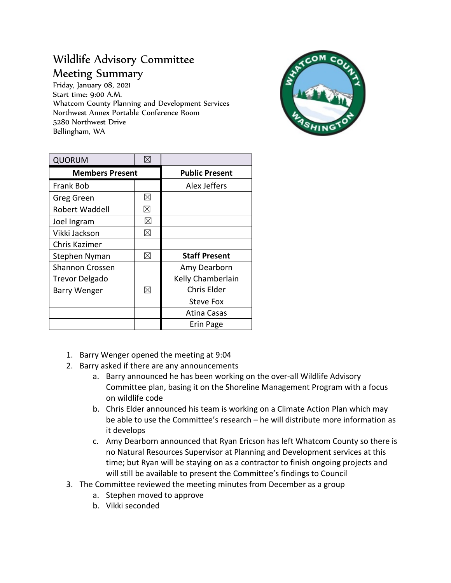## Wildlife Advisory Committee Meeting Summary

Friday, January 08, 2021 Start time: 9:00 A.M. Whatcom County Planning and Development Services Northwest Annex Portable Conference Room 5280 Northwest Drive Bellingham, WA



| <b>QUORUM</b>          | ⊠           |                       |
|------------------------|-------------|-----------------------|
| <b>Members Present</b> |             | <b>Public Present</b> |
| Frank Bob              |             | Alex Jeffers          |
| Greg Green             | ⊠           |                       |
| Robert Waddell         | $\boxtimes$ |                       |
| Joel Ingram            | ⊠           |                       |
| Vikki Jackson          | ⊠           |                       |
| Chris Kazimer          |             |                       |
| Stephen Nyman          | ⊠           | <b>Staff Present</b>  |
| <b>Shannon Crossen</b> |             | Amy Dearborn          |
| <b>Trevor Delgado</b>  |             | Kelly Chamberlain     |
| <b>Barry Wenger</b>    | $\boxtimes$ | Chris Elder           |
|                        |             | <b>Steve Fox</b>      |
|                        |             | Atina Casas           |
|                        |             | Erin Page             |

- 1. Barry Wenger opened the meeting at 9:04
- 2. Barry asked if there are any announcements
	- a. Barry announced he has been working on the over-all Wildlife Advisory Committee plan, basing it on the Shoreline Management Program with a focus on wildlife code
	- b. Chris Elder announced his team is working on a Climate Action Plan which may be able to use the Committee's research – he will distribute more information as it develops
	- c. Amy Dearborn announced that Ryan Ericson has left Whatcom County so there is no Natural Resources Supervisor at Planning and Development services at this time; but Ryan will be staying on as a contractor to finish ongoing projects and will still be available to present the Committee's findings to Council
- 3. The Committee reviewed the meeting minutes from December as a group
	- a. Stephen moved to approve
	- b. Vikki seconded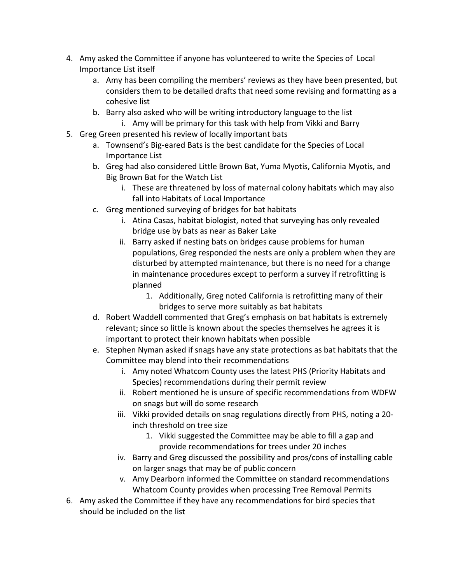- 4. Amy asked the Committee if anyone has volunteered to write the Species of Local Importance List itself
	- a. Amy has been compiling the members' reviews as they have been presented, but considers them to be detailed drafts that need some revising and formatting as a cohesive list
	- b. Barry also asked who will be writing introductory language to the list
		- i. Amy will be primary for this task with help from Vikki and Barry
- 5. Greg Green presented his review of locally important bats
	- a. Townsend's Big-eared Bats is the best candidate for the Species of Local Importance List
	- b. Greg had also considered Little Brown Bat, Yuma Myotis, California Myotis, and Big Brown Bat for the Watch List
		- i. These are threatened by loss of maternal colony habitats which may also fall into Habitats of Local Importance
	- c. Greg mentioned surveying of bridges for bat habitats
		- i. Atina Casas, habitat biologist, noted that surveying has only revealed bridge use by bats as near as Baker Lake
		- ii. Barry asked if nesting bats on bridges cause problems for human populations, Greg responded the nests are only a problem when they are disturbed by attempted maintenance, but there is no need for a change in maintenance procedures except to perform a survey if retrofitting is planned
			- 1. Additionally, Greg noted California is retrofitting many of their bridges to serve more suitably as bat habitats
	- d. Robert Waddell commented that Greg's emphasis on bat habitats is extremely relevant; since so little is known about the species themselves he agrees it is important to protect their known habitats when possible
	- e. Stephen Nyman asked if snags have any state protections as bat habitats that the Committee may blend into their recommendations
		- i. Amy noted Whatcom County uses the latest PHS (Priority Habitats and Species) recommendations during their permit review
		- ii. Robert mentioned he is unsure of specific recommendations from WDFW on snags but will do some research
		- iii. Vikki provided details on snag regulations directly from PHS, noting a 20 inch threshold on tree size
			- 1. Vikki suggested the Committee may be able to fill a gap and provide recommendations for trees under 20 inches
		- iv. Barry and Greg discussed the possibility and pros/cons of installing cable on larger snags that may be of public concern
		- v. Amy Dearborn informed the Committee on standard recommendations Whatcom County provides when processing Tree Removal Permits
- 6. Amy asked the Committee if they have any recommendations for bird species that should be included on the list